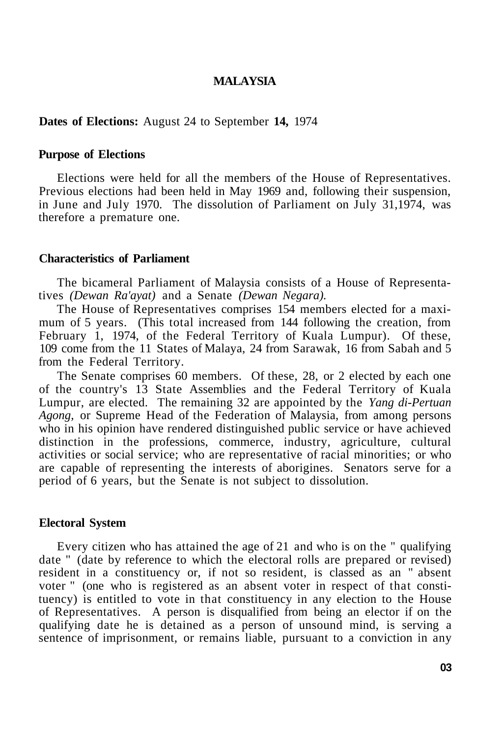### **MALAYSIA**

**Dates of Elections:** August 24 to September **14,** 1974

#### **Purpose of Elections**

Elections were held for all the members of the House of Representatives. Previous elections had been held in May 1969 and, following their suspension, in June and July 1970. The dissolution of Parliament on July 31,1974, was therefore a premature one.

### **Characteristics of Parliament**

The bicameral Parliament of Malaysia consists of a House of Representatives *(Dewan Ra'ayat)* and a Senate *(Dewan Negara).* 

The House of Representatives comprises 154 members elected for a maximum of 5 years. (This total increased from 144 following the creation, from February 1, 1974, of the Federal Territory of Kuala Lumpur). Of these, 109 come from the 11 States of Malaya, 24 from Sarawak, 16 from Sabah and 5 from the Federal Territory.

The Senate comprises 60 members. Of these, 28, or 2 elected by each one of the country's 13 State Assemblies and the Federal Territory of Kuala Lumpur, are elected. The remaining 32 are appointed by the *Yang di-Pertuan Agong,* or Supreme Head of the Federation of Malaysia, from among persons who in his opinion have rendered distinguished public service or have achieved distinction in the professions, commerce, industry, agriculture, cultural activities or social service; who are representative of racial minorities; or who are capable of representing the interests of aborigines. Senators serve for a period of 6 years, but the Senate is not subject to dissolution.

#### **Electoral System**

Every citizen who has attained the age of 21 and who is on the " qualifying date " (date by reference to which the electoral rolls are prepared or revised) resident in a constituency or, if not so resident, is classed as an " absent voter " (one who is registered as an absent voter in respect of that constituency) is entitled to vote in that constituency in any election to the House of Representatives. A person is disqualified from being an elector if on the qualifying date he is detained as a person of unsound mind, is serving a sentence of imprisonment, or remains liable, pursuant to a conviction in any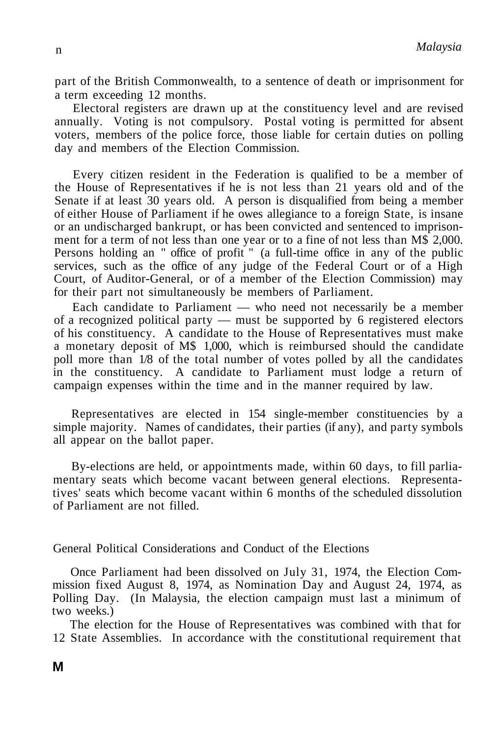part of the British Commonwealth, to a sentence of death or imprisonment for a term exceeding 12 months.

Electoral registers are drawn up at the constituency level and are revised annually. Voting is not compulsory. Postal voting is permitted for absent voters, members of the police force, those liable for certain duties on polling day and members of the Election Commission.

Every citizen resident in the Federation is qualified to be a member of the House of Representatives if he is not less than 21 years old and of the Senate if at least 30 years old. A person is disqualified from being a member of either House of Parliament if he owes allegiance to a foreign State, is insane or an undischarged bankrupt, or has been convicted and sentenced to imprisonment for a term of not less than one year or to a fine of not less than M\$ 2,000. Persons holding an " office of profit " (a full-time office in any of the public services, such as the office of any judge of the Federal Court or of a High Court, of Auditor-General, or of a member of the Election Commission) may for their part not simultaneously be members of Parliament.

Each candidate to Parliament — who need not necessarily be a member of a recognized political party — must be supported by 6 registered electors of his constituency. A candidate to the House of Representatives must make a monetary deposit of M\$ 1,000, which is reimbursed should the candidate poll more than 1/8 of the total number of votes polled by all the candidates in the constituency. A candidate to Parliament must lodge a return of campaign expenses within the time and in the manner required by law.

Representatives are elected in 154 single-member constituencies by a simple majority. Names of candidates, their parties (if any), and party symbols all appear on the ballot paper.

By-elections are held, or appointments made, within 60 days, to fill parliamentary seats which become vacant between general elections. Representatives' seats which become vacant within 6 months of the scheduled dissolution of Parliament are not filled.

## General Political Considerations and Conduct of the Elections

Once Parliament had been dissolved on July 31, 1974, the Election Commission fixed August 8, 1974, as Nomination Day and August 24, 1974, as Polling Day. (In Malaysia, the election campaign must last a minimum of two weeks.)

The election for the House of Representatives was combined with that for 12 State Assemblies. In accordance with the constitutional requirement that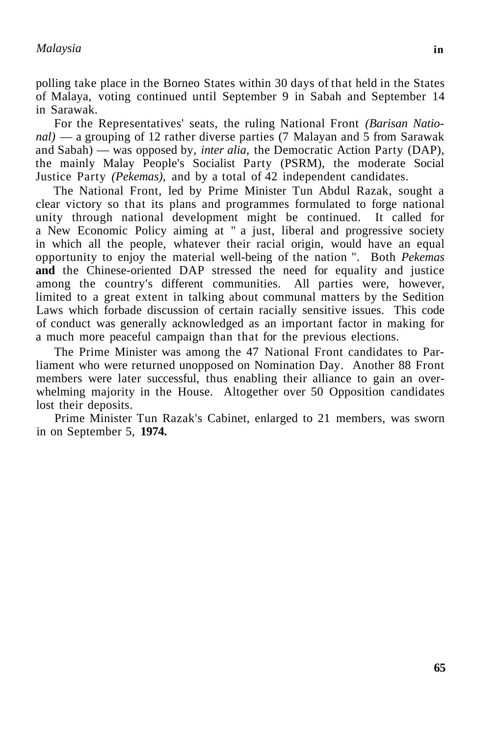polling take place in the Borneo States within 30 days of that held in the States of Malaya, voting continued until September 9 in Sabah and September 14 in Sarawak.

For the Representatives' seats, the ruling National Front *(Barisan National)* — a grouping of 12 rather diverse parties (7 Malayan and 5 from Sarawak and Sabah) — was opposed by, *inter alia,* the Democratic Action Party (DAP), the mainly Malay People's Socialist Party (PSRM), the moderate Social Justice Party *(Pekemas),* and by a total of 42 independent candidates.

The National Front, led by Prime Minister Tun Abdul Razak, sought a clear victory so that its plans and programmes formulated to forge national unity through national development might be continued. It called for a New Economic Policy aiming at " a just, liberal and progressive society in which all the people, whatever their racial origin, would have an equal opportunity to enjoy the material well-being of the nation ". Both *Pekemas*  **and** the Chinese-oriented DAP stressed the need for equality and justice among the country's different communities. All parties were, however, limited to a great extent in talking about communal matters by the Sedition Laws which forbade discussion of certain racially sensitive issues. This code of conduct was generally acknowledged as an important factor in making for a much more peaceful campaign than that for the previous elections.

The Prime Minister was among the 47 National Front candidates to Parliament who were returned unopposed on Nomination Day. Another 88 Front members were later successful, thus enabling their alliance to gain an overwhelming majority in the House. Altogether over 50 Opposition candidates lost their deposits.

Prime Minister Tun Razak's Cabinet, enlarged to 21 members, was sworn in on September 5, **1974.**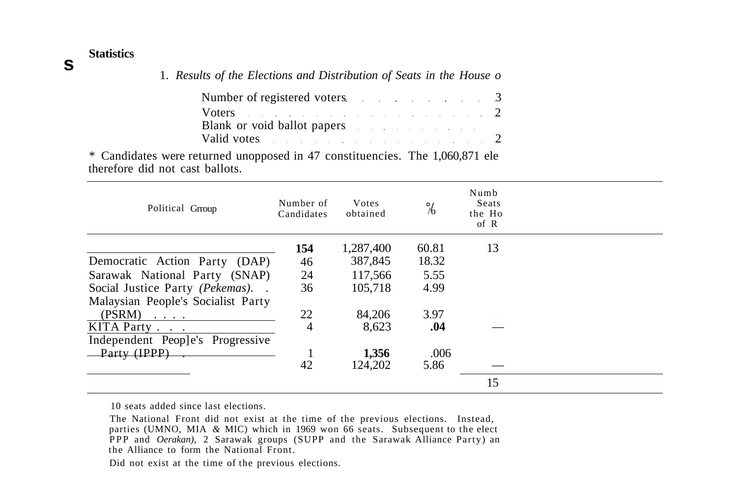# **Statistics**

| 1. Results of the Elections and Distribution of Seats in the House of |  |
|-----------------------------------------------------------------------|--|
| Number of registered voters 3                                         |  |
| Voters $\sim$ 2<br>Blank or void ballot papers                        |  |
| Valid votes 2                                                         |  |

\* Candidates were returned unopposed in 47 constituencies. The 1,060,871 ele therefore did not cast ballots.

| Political Group                                               | Number of<br>Candidates | Votes<br>obtained | $\frac{1}{6}$ | Numb<br>Seats<br>the Ho<br>of R |  |
|---------------------------------------------------------------|-------------------------|-------------------|---------------|---------------------------------|--|
|                                                               | 154                     | 1,287,400         | 60.81         | 13                              |  |
| Democratic Action Party (DAP)                                 | 46                      | 387,845           | 18.32         |                                 |  |
| Sarawak National Party (SNAP)                                 | 24                      | 117,566           | 5.55          |                                 |  |
| Social Justice Party (Pekemas)                                | 36                      | 105.718           | 4.99          |                                 |  |
| Malaysian People's Socialist Party                            |                         |                   |               |                                 |  |
| (PSRM)<br>$\mathbf{z} = \mathbf{z} + \mathbf{z} + \mathbf{z}$ | 22                      | 84,206            | 3.97          |                                 |  |
| KITA Party                                                    | 4                       | 8.623             | .04           |                                 |  |
| Independent People's Progressive                              |                         |                   |               |                                 |  |
| Party (IPP)                                                   |                         | 1,356             | .006          |                                 |  |
|                                                               | 42                      | 124.202           | 5.86          |                                 |  |
|                                                               |                         |                   |               | 15                              |  |

10 seats added since last elections.

The National Front did not exist at the time of the previous elections. Instead, parties (UMNO, MIA *&* MIC) which in 1969 won 66 seats. Subsequent to the elect PPP and *Oerakan*), 2 Sarawak groups (SUPP and the Sarawak Alliance Party) an the Alliance to form the National Front.

Did not exist at the time of the previous elections.

# **s**